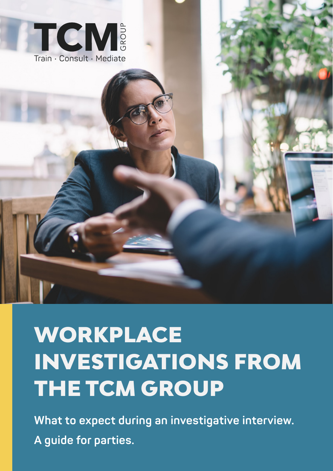

# WORKPLACE INVESTIGATIONS FROM THE TCM GROUP

**What to expect during an investigative interview. A guide for parties.**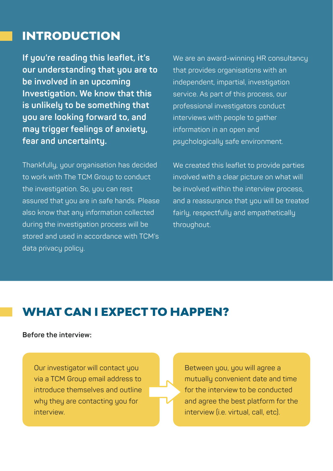#### INTRODUCTION

**If you're reading this leaflet, it's our understanding that you are to be involved in an upcoming Investigation. We know that this is unlikely to be something that you are looking forward to, and may trigger feelings of anxiety, fear and uncertainty.** 

Thankfully, your organisation has decided to work with The TCM Group to conduct the investigation. So, you can rest assured that you are in safe hands. Please also know that any information collected during the investigation process will be stored and used in accordance with TCM's data privacy policy.

We are an award-winning HR consultancy that provides organisations with an independent, impartial, investigation service. As part of this process, our professional investigators conduct interviews with people to gather information in an open and psychologically safe environment.

We created this leaflet to provide parties involved with a clear picture on what will be involved within the interview process, and a reassurance that you will be treated fairly, respectfully and empathetically throughout.

#### WHAT CAN I EXPECT TO HAPPEN?

**Before the interview:**

Our investigator will contact you via a TCM Group email address to introduce themselves and outline why they are contacting you for interview.

Between you, you will agree a mutually convenient date and time for the interview to be conducted and agree the best platform for the interview (i.e. virtual, call, etc).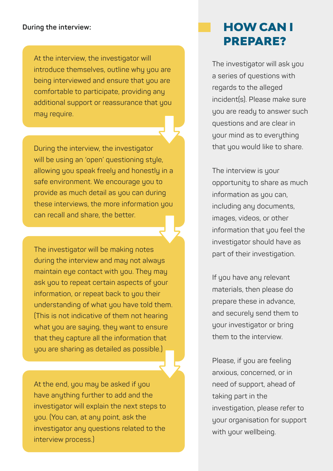#### **During the interview:**

At the interview, the investigator will introduce themselves, outline why you are being interviewed and ensure that you are comfortable to participate, providing any additional support or reassurance that you may require.

During the interview, the investigator will be using an 'open' questioning style, allowing you speak freely and honestly in a safe environment. We encourage you to provide as much detail as you can during these interviews, the more information you can recall and share, the better.

The investigator will be making notes during the interview and may not always maintain eye contact with you. They may ask you to repeat certain aspects of your information, or repeat back to you their understanding of what you have told them. (This is not indicative of them not hearing what you are saying, they want to ensure that they capture all the information that you are sharing as detailed as possible.)

At the end, you may be asked if you have anuthing further to add and the investigator will explain the next steps to you. (You can, at any point, ask the investigator any questions related to the interview process.)

### HOW CAN I PREPARE?

The investigator will ask you a series of questions with regards to the alleged incident(s). Please make sure you are ready to answer such questions and are clear in your mind as to everything that you would like to share.

The interview is your opportunity to share as much information as you can, including any documents, images, videos, or other information that you feel the investigator should have as part of their investigation.

If you have any relevant materials, then please do prepare these in advance, and securely send them to your investigator or bring them to the interview.

Please, if you are feeling anxious, concerned, or in need of support, ahead of taking part in the investigation, please refer to your organisation for support with your wellbeing.